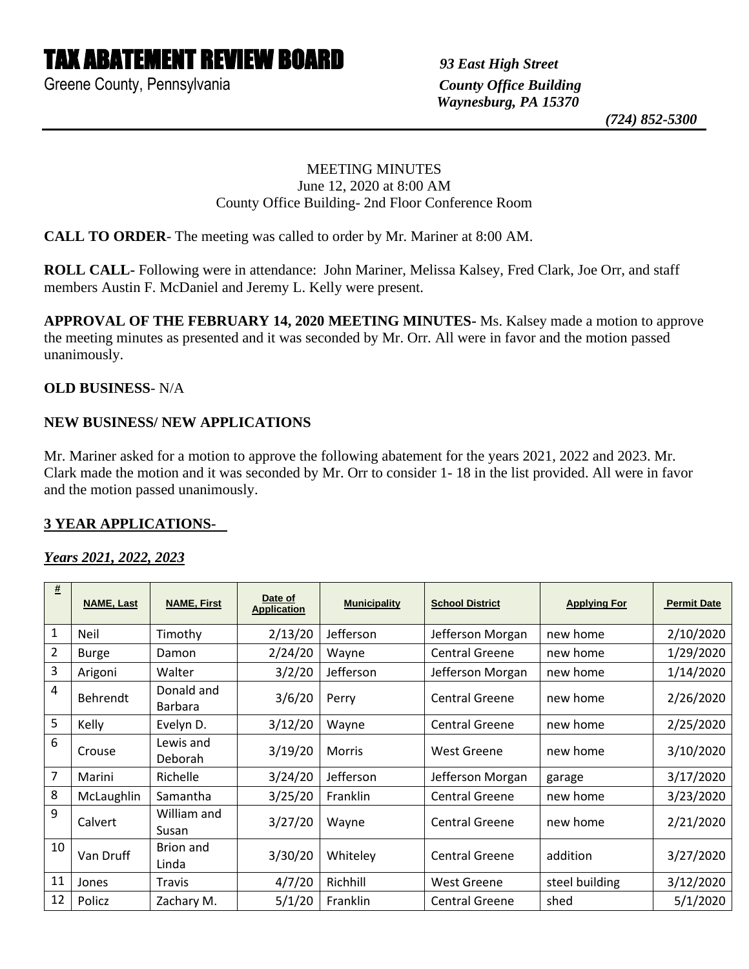# TAX ABATEMENT REVIEW BOARD *93 East High Street*

Greene County, Pennsylvania *County Office Building*

 *Waynesburg, PA 15370*

 *(724) 852-5300*

## MEETING MINUTES June 12, 2020 at 8:00 AM County Office Building- 2nd Floor Conference Room

**CALL TO ORDER**- The meeting was called to order by Mr. Mariner at 8:00 AM.

**ROLL CALL-** Following were in attendance: John Mariner, Melissa Kalsey, Fred Clark, Joe Orr, and staff members Austin F. McDaniel and Jeremy L. Kelly were present.

**APPROVAL OF THE FEBRUARY 14, 2020 MEETING MINUTES-** Ms. Kalsey made a motion to approve the meeting minutes as presented and it was seconded by Mr. Orr. All were in favor and the motion passed unanimously.

### **OLD BUSINESS**- N/A

## **NEW BUSINESS/ NEW APPLICATIONS**

Mr. Mariner asked for a motion to approve the following abatement for the years 2021, 2022 and 2023. Mr. Clark made the motion and it was seconded by Mr. Orr to consider 1- 18 in the list provided. All were in favor and the motion passed unanimously.

### **3 YEAR APPLICATIONS-**

### *Years 2021, 2022, 2023*

| $\pmb{\#}$ | <b>NAME, Last</b> | <b>NAME, First</b>           | Date of<br><b>Application</b> | <b>Municipality</b> | <b>School District</b> | <b>Applying For</b> | <b>Permit Date</b> |
|------------|-------------------|------------------------------|-------------------------------|---------------------|------------------------|---------------------|--------------------|
| 1          | Neil              | Timothy                      | 2/13/20                       | Jefferson           | Jefferson Morgan       | new home            | 2/10/2020          |
| 2          | <b>Burge</b>      | Damon                        | 2/24/20                       | Wayne               | <b>Central Greene</b>  | new home            | 1/29/2020          |
| 3          | Arigoni           | Walter                       | 3/2/20                        | Jefferson           | Jefferson Morgan       | new home            | 1/14/2020          |
| 4          | <b>Behrendt</b>   | Donald and<br><b>Barbara</b> | 3/6/20                        | Perry               | Central Greene         | new home            | 2/26/2020          |
| 5          | Kelly             | Evelyn D.                    | 3/12/20                       | Wayne               | <b>Central Greene</b>  | new home            | 2/25/2020          |
| 6          | Crouse            | Lewis and<br>Deborah         | 3/19/20                       | <b>Morris</b>       | West Greene            | new home            | 3/10/2020          |
| 7          | Marini            | Richelle                     | 3/24/20                       | Jefferson           | Jefferson Morgan       | garage              | 3/17/2020          |
| 8          | McLaughlin        | Samantha                     | 3/25/20                       | Franklin            | <b>Central Greene</b>  | new home            | 3/23/2020          |
| 9          | Calvert           | William and<br>Susan         | 3/27/20                       | Wayne               | Central Greene         | new home            | 2/21/2020          |
| 10         | Van Druff         | Brion and<br>Linda           | 3/30/20                       | Whiteley            | Central Greene         | addition            | 3/27/2020          |
| 11         | Jones             | Travis                       | 4/7/20                        | Richhill            | <b>West Greene</b>     | steel building      | 3/12/2020          |
| 12         | Policz            | Zachary M.                   | 5/1/20                        | Franklin            | <b>Central Greene</b>  | shed                | 5/1/2020           |